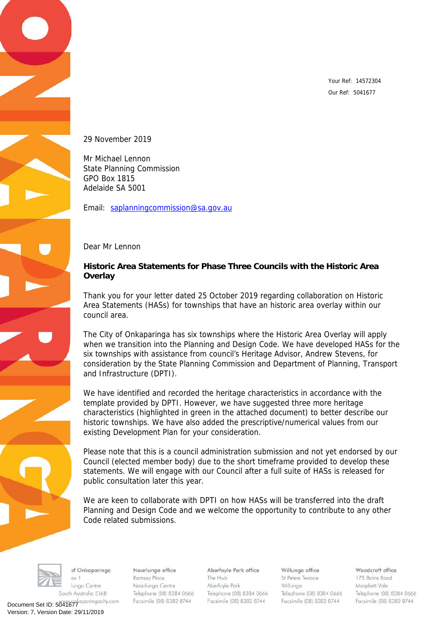Your Ref: 14572304 Our Ref: 5041677

29 November 2019

Mr Michael Lennon State Planning Commission GPO Box 1815 Adelaide SA 5001

Email: [saplanningcommission@sa.gov.au](mailto:saplanningcommission@sa.gov.au)

Dear Mr Lennon

**Historic Area Statements for Phase Three Councils with the Historic Area Overlay**

Thank you for your letter dated 25 October 2019 regarding collaboration on Historic Area Statements (HASs) for townships that have an historic area overlay within our council area.

The City of Onkaparinga has six townships where the Historic Area Overlay will apply when we transition into the Planning and Design Code. We have developed HASs for the six townships with assistance from council's Heritage Advisor, Andrew Stevens, for consideration by the State Planning Commission and Department of Planning, Transport and Infrastructure (DPTI).

We have identified and recorded the heritage characteristics in accordance with the template provided by DPTI. However, we have suggested three more heritage characteristics (highlighted in green in the attached document) to better describe our historic townships. We have also added the prescriptive/numerical values from our existing Development Plan for your consideration.

Please note that this is a council administration submission and not yet endorsed by our Council (elected member body) due to the short timeframe provided to develop these statements. We will engage with our Council after a full suite of HASs is released for public consultation later this year.

We are keen to collaborate with DPTI on how HASs will be transferred into the draft Planning and Design Code and we welcome the opportunity to contribute to any other Code related submissions.



of Onkaparinga  $\alpha x$  1 lunga Centre South Australia 5168

Document Set ID: 5041677<br>Version: 7, Version Date: 29/11/2019

Noarlunga office Ramsay Place Noarlunga Centre Telephone (08) 8384 0666 Facsimile (08) 8382 8744

Aberfoyle Park office The Hub Aberfoyle Park Telephone (08) 8384 0666 Facsimile (08) 8382 8744

Willunga office St Peters Terrace Willunga Telephone (08) 8384 0666 Facsimile (08) 8382 8744

Woodcroft office 175 Bains Road Morphett Vale Telephone (08) 8384 0666 Facsimile (08) 8382 8744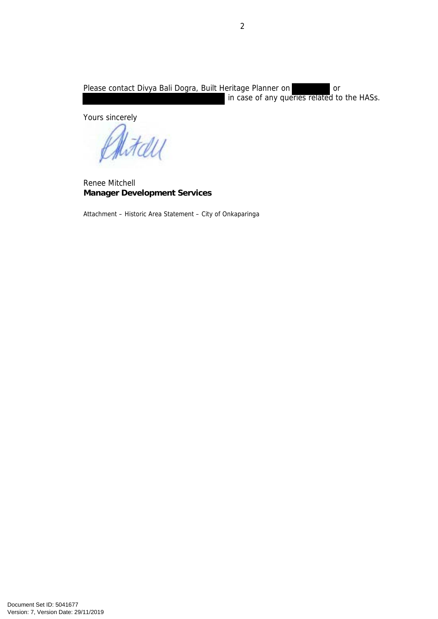Please contact Divya Bali Dogra, Built Heritage Planner on **Calibrate** or in case of any queries related to the HASs.

Yours sincerely

HALL

Renee Mitchell **Manager Development Services**

Attachment – Historic Area Statement – City of Onkaparinga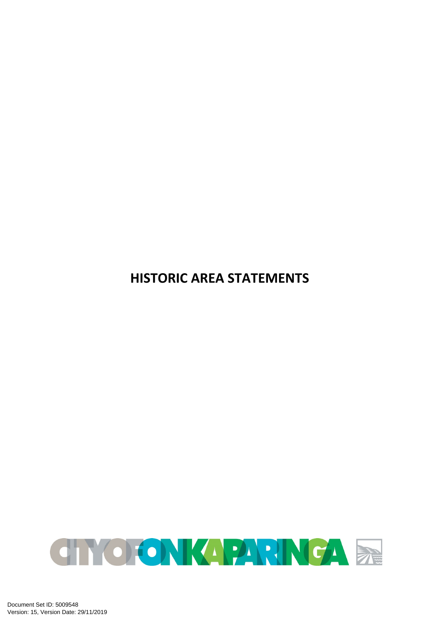**HISTORIC AREA STATEMENTS**

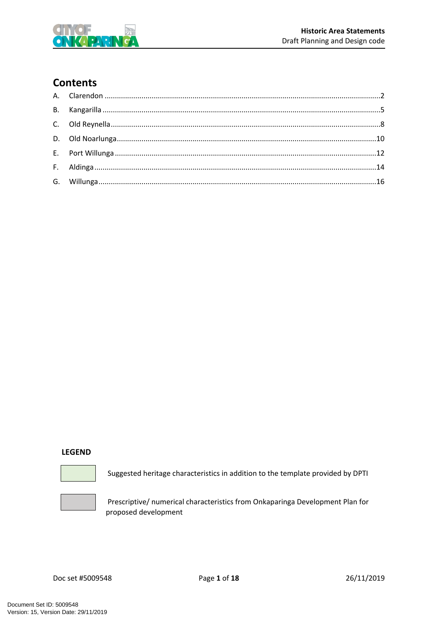

# **Contents**

#### **LEGEND**



Suggested heritage characteristics in addition to the template provided by DPTI



Prescriptive/ numerical characteristics from Onkaparinga Development Plan for proposed development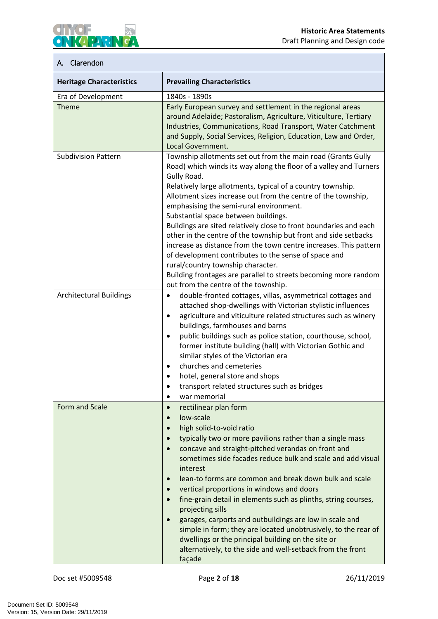

### <span id="page-4-0"></span>**A. Clarendon**

| <b>Heritage Characteristics</b> | <b>Prevailing Characteristics</b>                                                                                                                                                                                                                                                                                                                                                                                                                                                                                                                                                                                                                                                                                                                                                                                            |
|---------------------------------|------------------------------------------------------------------------------------------------------------------------------------------------------------------------------------------------------------------------------------------------------------------------------------------------------------------------------------------------------------------------------------------------------------------------------------------------------------------------------------------------------------------------------------------------------------------------------------------------------------------------------------------------------------------------------------------------------------------------------------------------------------------------------------------------------------------------------|
| Era of Development              | 1840s - 1890s                                                                                                                                                                                                                                                                                                                                                                                                                                                                                                                                                                                                                                                                                                                                                                                                                |
| <b>Theme</b>                    | Early European survey and settlement in the regional areas<br>around Adelaide; Pastoralism, Agriculture, Viticulture, Tertiary<br>Industries, Communications, Road Transport, Water Catchment<br>and Supply, Social Services, Religion, Education, Law and Order,<br>Local Government.                                                                                                                                                                                                                                                                                                                                                                                                                                                                                                                                       |
| <b>Subdivision Pattern</b>      | Township allotments set out from the main road (Grants Gully<br>Road) which winds its way along the floor of a valley and Turners<br>Gully Road.<br>Relatively large allotments, typical of a country township.<br>Allotment sizes increase out from the centre of the township,<br>emphasising the semi-rural environment.<br>Substantial space between buildings.<br>Buildings are sited relatively close to front boundaries and each<br>other in the centre of the township but front and side setbacks<br>increase as distance from the town centre increases. This pattern<br>of development contributes to the sense of space and<br>rural/country township character.<br>Building frontages are parallel to streets becoming more random                                                                             |
| <b>Architectural Buildings</b>  | out from the centre of the township.<br>double-fronted cottages, villas, asymmetrical cottages and<br>$\bullet$<br>attached shop-dwellings with Victorian stylistic influences<br>agriculture and viticulture related structures such as winery<br>$\bullet$<br>buildings, farmhouses and barns<br>public buildings such as police station, courthouse, school,<br>$\bullet$<br>former institute building (hall) with Victorian Gothic and<br>similar styles of the Victorian era<br>churches and cemeteries<br>$\bullet$<br>hotel, general store and shops<br>transport related structures such as bridges<br>war memorial                                                                                                                                                                                                  |
| Form and Scale                  | rectilinear plan form<br>$\bullet$<br>low-scale<br>$\bullet$<br>high solid-to-void ratio<br>$\bullet$<br>typically two or more pavilions rather than a single mass<br>concave and straight-pitched verandas on front and<br>$\bullet$<br>sometimes side facades reduce bulk and scale and add visual<br>interest<br>lean-to forms are common and break down bulk and scale<br>$\bullet$<br>vertical proportions in windows and doors<br>$\bullet$<br>fine-grain detail in elements such as plinths, string courses,<br>$\bullet$<br>projecting sills<br>garages, carports and outbuildings are low in scale and<br>$\bullet$<br>simple in form; they are located unobtrusively, to the rear of<br>dwellings or the principal building on the site or<br>alternatively, to the side and well-setback from the front<br>façade |

Doc set #5009548 Page **2** of **18** 26/11/2019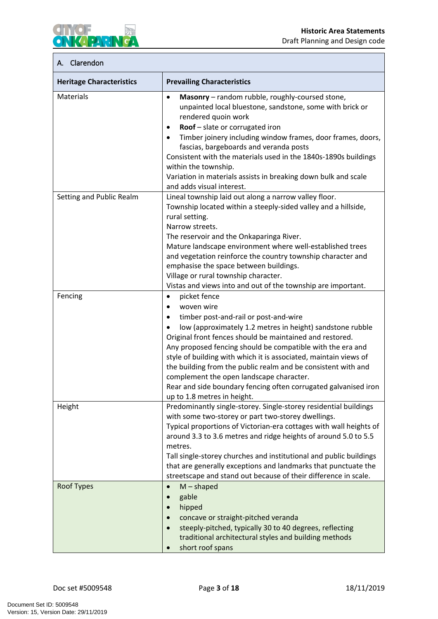

#### **A. Clarendon**

| <b>Heritage Characteristics</b> | <b>Prevailing Characteristics</b>                                                                                                                                                                                                                                                                                                                                                                                                                                                                                                                                                                 |
|---------------------------------|---------------------------------------------------------------------------------------------------------------------------------------------------------------------------------------------------------------------------------------------------------------------------------------------------------------------------------------------------------------------------------------------------------------------------------------------------------------------------------------------------------------------------------------------------------------------------------------------------|
| Materials                       | Masonry - random rubble, roughly-coursed stone,<br>$\bullet$<br>unpainted local bluestone, sandstone, some with brick or<br>rendered quoin work<br>Roof - slate or corrugated iron<br>$\bullet$<br>Timber joinery including window frames, door frames, doors,<br>$\bullet$<br>fascias, bargeboards and veranda posts<br>Consistent with the materials used in the 1840s-1890s buildings<br>within the township.<br>Variation in materials assists in breaking down bulk and scale<br>and adds visual interest.                                                                                   |
| Setting and Public Realm        | Lineal township laid out along a narrow valley floor.<br>Township located within a steeply-sided valley and a hillside,<br>rural setting.<br>Narrow streets.<br>The reservoir and the Onkaparinga River.<br>Mature landscape environment where well-established trees<br>and vegetation reinforce the country township character and<br>emphasise the space between buildings.<br>Village or rural township character.<br>Vistas and views into and out of the township are important.                                                                                                            |
| Fencing                         | picket fence<br>$\bullet$<br>woven wire<br>$\bullet$<br>timber post-and-rail or post-and-wire<br>$\bullet$<br>low (approximately 1.2 metres in height) sandstone rubble<br>$\bullet$<br>Original front fences should be maintained and restored.<br>Any proposed fencing should be compatible with the era and<br>style of building with which it is associated, maintain views of<br>the building from the public realm and be consistent with and<br>complement the open landscape character.<br>Rear and side boundary fencing often corrugated galvanised iron<br>up to 1.8 metres in height. |
| Height                          | Predominantly single-storey. Single-storey residential buildings<br>with some two-storey or part two-storey dwellings.<br>Typical proportions of Victorian-era cottages with wall heights of<br>around 3.3 to 3.6 metres and ridge heights of around 5.0 to 5.5<br>metres.<br>Tall single-storey churches and institutional and public buildings<br>that are generally exceptions and landmarks that punctuate the<br>streetscape and stand out because of their difference in scale.                                                                                                             |
| <b>Roof Types</b>               | $M$ – shaped<br>$\bullet$<br>gable<br>hipped<br>concave or straight-pitched veranda<br>steeply-pitched, typically 30 to 40 degrees, reflecting<br>traditional architectural styles and building methods<br>short roof spans                                                                                                                                                                                                                                                                                                                                                                       |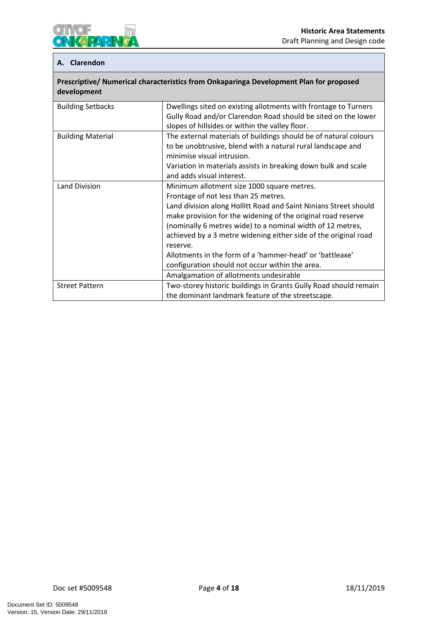

#### **A. Clarendon**

| Prescriptive/ Numerical characteristics from Onkaparinga Development Plan for proposed<br>development |                                                                                                                  |  |
|-------------------------------------------------------------------------------------------------------|------------------------------------------------------------------------------------------------------------------|--|
| <b>Building Setbacks</b>                                                                              | Dwellings sited on existing allotments with frontage to Turners                                                  |  |
|                                                                                                       | Gully Road and/or Clarendon Road should be sited on the lower<br>slopes of hillsides or within the valley floor. |  |
| <b>Building Material</b>                                                                              | The external materials of buildings should be of natural colours                                                 |  |
|                                                                                                       | to be unobtrusive, blend with a natural rural landscape and                                                      |  |
|                                                                                                       | minimise visual intrusion.                                                                                       |  |
|                                                                                                       | Variation in materials assists in breaking down bulk and scale                                                   |  |
|                                                                                                       | and adds visual interest.                                                                                        |  |
| Land Division                                                                                         | Minimum allotment size 1000 square metres.                                                                       |  |
|                                                                                                       | Frontage of not less than 25 metres.                                                                             |  |
|                                                                                                       | Land division along Hollitt Road and Saint Ninians Street should                                                 |  |
|                                                                                                       | make provision for the widening of the original road reserve                                                     |  |
|                                                                                                       | (nominally 6 metres wide) to a nominal width of 12 metres,                                                       |  |
|                                                                                                       | achieved by a 3 metre widening either side of the original road                                                  |  |
|                                                                                                       | reserve.                                                                                                         |  |
|                                                                                                       | Allotments in the form of a 'hammer-head' or 'battleaxe'                                                         |  |
|                                                                                                       | configuration should not occur within the area.                                                                  |  |
|                                                                                                       | Amalgamation of allotments undesirable                                                                           |  |
| <b>Street Pattern</b>                                                                                 | Two-storey historic buildings in Grants Gully Road should remain                                                 |  |
|                                                                                                       | the dominant landmark feature of the streetscape.                                                                |  |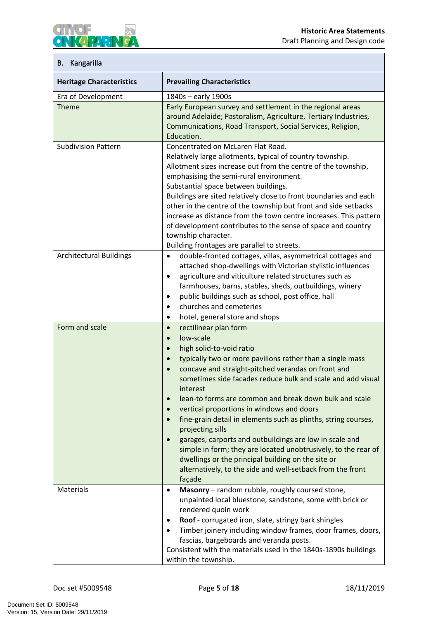

# <span id="page-7-0"></span>**B. Kangarilla**

| <b>Heritage Characteristics</b> | <b>Prevailing Characteristics</b>                                                                                                                                                                                                                                                                                                                                                                                                                                                                                                                                                                                                                                                                                                                                                                                            |
|---------------------------------|------------------------------------------------------------------------------------------------------------------------------------------------------------------------------------------------------------------------------------------------------------------------------------------------------------------------------------------------------------------------------------------------------------------------------------------------------------------------------------------------------------------------------------------------------------------------------------------------------------------------------------------------------------------------------------------------------------------------------------------------------------------------------------------------------------------------------|
| Era of Development              | 1840s - early 1900s                                                                                                                                                                                                                                                                                                                                                                                                                                                                                                                                                                                                                                                                                                                                                                                                          |
| <b>Theme</b>                    | Early European survey and settlement in the regional areas<br>around Adelaide; Pastoralism, Agriculture, Tertiary Industries,<br>Communications, Road Transport, Social Services, Religion,<br>Education.                                                                                                                                                                                                                                                                                                                                                                                                                                                                                                                                                                                                                    |
| <b>Subdivision Pattern</b>      | Concentrated on McLaren Flat Road.<br>Relatively large allotments, typical of country township.<br>Allotment sizes increase out from the centre of the township,<br>emphasising the semi-rural environment.<br>Substantial space between buildings.<br>Buildings are sited relatively close to front boundaries and each<br>other in the centre of the township but front and side setbacks<br>increase as distance from the town centre increases. This pattern<br>of development contributes to the sense of space and country<br>township character.<br>Building frontages are parallel to streets.                                                                                                                                                                                                                       |
| <b>Architectural Buildings</b>  | double-fronted cottages, villas, asymmetrical cottages and<br>$\bullet$<br>attached shop-dwellings with Victorian stylistic influences<br>agriculture and viticulture related structures such as<br>$\bullet$<br>farmhouses, barns, stables, sheds, outbuildings, winery<br>public buildings such as school, post office, hall<br>$\bullet$<br>churches and cemeteries<br>$\bullet$<br>hotel, general store and shops<br>$\bullet$                                                                                                                                                                                                                                                                                                                                                                                           |
| Form and scale                  | rectilinear plan form<br>$\bullet$<br>low-scale<br>$\bullet$<br>high solid-to-void ratio<br>$\bullet$<br>typically two or more pavilions rather than a single mass<br>$\bullet$<br>concave and straight-pitched verandas on front and<br>$\bullet$<br>sometimes side facades reduce bulk and scale and add visual<br>interest<br>lean-to forms are common and break down bulk and scale<br>vertical proportions in windows and doors<br>$\bullet$<br>fine-grain detail in elements such as plinths, string courses,<br>$\bullet$<br>projecting sills<br>garages, carports and outbuildings are low in scale and<br>$\bullet$<br>simple in form; they are located unobtrusively, to the rear of<br>dwellings or the principal building on the site or<br>alternatively, to the side and well-setback from the front<br>façade |
| Materials                       | Masonry - random rubble, roughly coursed stone,<br>$\bullet$<br>unpainted local bluestone, sandstone, some with brick or<br>rendered quoin work<br>Roof - corrugated iron, slate, stringy bark shingles<br>٠<br>Timber joinery including window frames, door frames, doors,<br>$\bullet$<br>fascias, bargeboards and veranda posts.<br>Consistent with the materials used in the 1840s-1890s buildings<br>within the township.                                                                                                                                                                                                                                                                                                                                                                                               |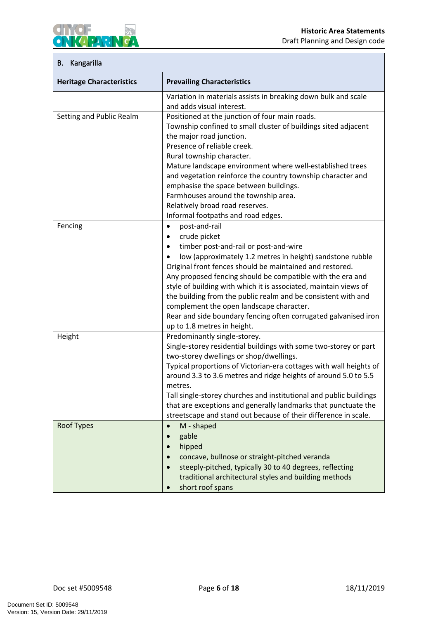

# **B. Kangarilla**

| <b>Heritage Characteristics</b> | <b>Prevailing Characteristics</b>                                                                                                                                                                                                                                                                                                                                                                                                                                                                                                                                                                    |
|---------------------------------|------------------------------------------------------------------------------------------------------------------------------------------------------------------------------------------------------------------------------------------------------------------------------------------------------------------------------------------------------------------------------------------------------------------------------------------------------------------------------------------------------------------------------------------------------------------------------------------------------|
|                                 | Variation in materials assists in breaking down bulk and scale<br>and adds visual interest.                                                                                                                                                                                                                                                                                                                                                                                                                                                                                                          |
| Setting and Public Realm        | Positioned at the junction of four main roads.<br>Township confined to small cluster of buildings sited adjacent<br>the major road junction.<br>Presence of reliable creek.<br>Rural township character.<br>Mature landscape environment where well-established trees<br>and vegetation reinforce the country township character and<br>emphasise the space between buildings.<br>Farmhouses around the township area.<br>Relatively broad road reserves.<br>Informal footpaths and road edges.                                                                                                      |
| Fencing                         | post-and-rail<br>$\bullet$<br>crude picket<br>$\bullet$<br>timber post-and-rail or post-and-wire<br>$\bullet$<br>low (approximately 1.2 metres in height) sandstone rubble<br>$\bullet$<br>Original front fences should be maintained and restored.<br>Any proposed fencing should be compatible with the era and<br>style of building with which it is associated, maintain views of<br>the building from the public realm and be consistent with and<br>complement the open landscape character.<br>Rear and side boundary fencing often corrugated galvanised iron<br>up to 1.8 metres in height. |
| Height                          | Predominantly single-storey.<br>Single-storey residential buildings with some two-storey or part<br>two-storey dwellings or shop/dwellings.<br>Typical proportions of Victorian-era cottages with wall heights of<br>around 3.3 to 3.6 metres and ridge heights of around 5.0 to 5.5<br>metres.<br>Tall single-storey churches and institutional and public buildings<br>that are exceptions and generally landmarks that punctuate the<br>streetscape and stand out because of their difference in scale.                                                                                           |
| <b>Roof Types</b>               | M - shaped<br>$\bullet$<br>gable<br>$\bullet$<br>hipped<br>$\bullet$<br>concave, bullnose or straight-pitched veranda<br>steeply-pitched, typically 30 to 40 degrees, reflecting<br>$\bullet$<br>traditional architectural styles and building methods<br>short roof spans                                                                                                                                                                                                                                                                                                                           |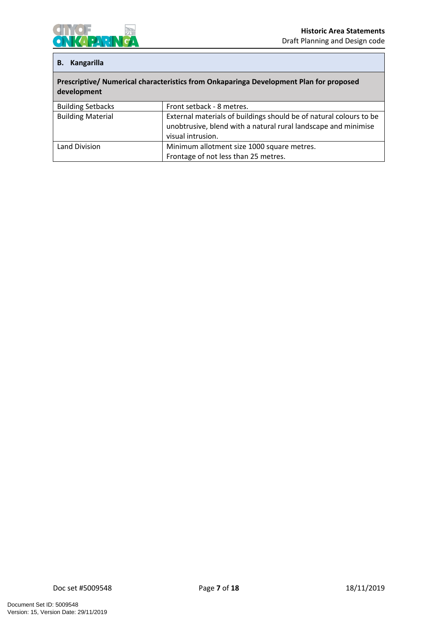

#### **B. Kangarilla**

| Prescriptive/ Numerical characteristics from Onkaparinga Development Plan for proposed |
|----------------------------------------------------------------------------------------|
| development                                                                            |

| <b>Building Setbacks</b> | Front setback - 8 metres.                                                                                                            |
|--------------------------|--------------------------------------------------------------------------------------------------------------------------------------|
| <b>Building Material</b> | External materials of buildings should be of natural colours to be<br>unobtrusive, blend with a natural rural landscape and minimise |
|                          | visual intrusion.                                                                                                                    |
| Land Division            | Minimum allotment size 1000 square metres.                                                                                           |
|                          | Frontage of not less than 25 metres.                                                                                                 |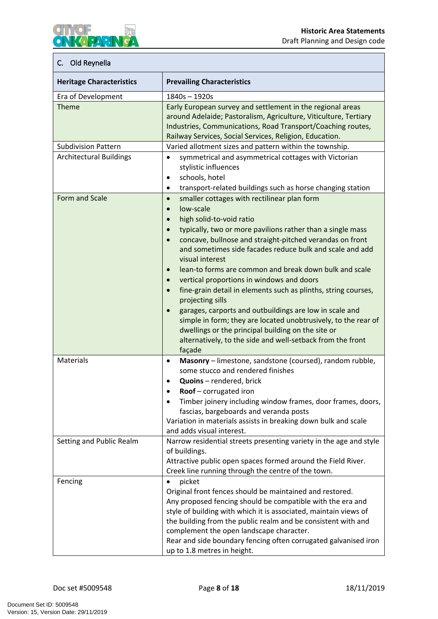# <span id="page-10-0"></span>**C. Old Reynella**

**IKAPARIN** 

 $\mathbf c$ 

**CHYOF** 

 $\bullet$ 

| <b>Heritage Characteristics</b> | <b>Prevailing Characteristics</b>                                                                                                                                                                                                                                                                                                                                                                                                                                                                                                                                                                                                                                                                                                                                                                                                                                          |
|---------------------------------|----------------------------------------------------------------------------------------------------------------------------------------------------------------------------------------------------------------------------------------------------------------------------------------------------------------------------------------------------------------------------------------------------------------------------------------------------------------------------------------------------------------------------------------------------------------------------------------------------------------------------------------------------------------------------------------------------------------------------------------------------------------------------------------------------------------------------------------------------------------------------|
| Era of Development              | 1840s-1920s                                                                                                                                                                                                                                                                                                                                                                                                                                                                                                                                                                                                                                                                                                                                                                                                                                                                |
| Theme                           | Early European survey and settlement in the regional areas<br>around Adelaide; Pastoralism, Agriculture, Viticulture, Tertiary<br>Industries, Communications, Road Transport/Coaching routes,<br>Railway Services, Social Services, Religion, Education.                                                                                                                                                                                                                                                                                                                                                                                                                                                                                                                                                                                                                   |
| <b>Subdivision Pattern</b>      | Varied allotment sizes and pattern within the township.                                                                                                                                                                                                                                                                                                                                                                                                                                                                                                                                                                                                                                                                                                                                                                                                                    |
| <b>Architectural Buildings</b>  | symmetrical and asymmetrical cottages with Victorian<br>$\bullet$<br>stylistic influences<br>schools, hotel<br>$\bullet$<br>transport-related buildings such as horse changing station<br>$\bullet$                                                                                                                                                                                                                                                                                                                                                                                                                                                                                                                                                                                                                                                                        |
| Form and Scale                  | smaller cottages with rectilinear plan form<br>$\bullet$<br>low-scale<br>$\bullet$<br>high solid-to-void ratio<br>$\bullet$<br>typically, two or more pavilions rather than a single mass<br>$\bullet$<br>concave, bullnose and straight-pitched verandas on front<br>$\bullet$<br>and sometimes side facades reduce bulk and scale and add<br>visual interest<br>lean-to forms are common and break down bulk and scale<br>$\bullet$<br>vertical proportions in windows and doors<br>$\bullet$<br>fine-grain detail in elements such as plinths, string courses,<br>$\bullet$<br>projecting sills<br>garages, carports and outbuildings are low in scale and<br>$\bullet$<br>simple in form; they are located unobtrusively, to the rear of<br>dwellings or the principal building on the site or<br>alternatively, to the side and well-setback from the front<br>façade |
| Materials                       | Masonry - limestone, sandstone (coursed), random rubble,<br>$\bullet$<br>some stucco and rendered finishes<br>Quoins - rendered, brick<br>$\bullet$<br>Roof - corrugated iron<br>$\bullet$<br>Timber joinery including window frames, door frames, doors,<br>fascias, bargeboards and veranda posts<br>Variation in materials assists in breaking down bulk and scale<br>and adds visual interest.                                                                                                                                                                                                                                                                                                                                                                                                                                                                         |
| Setting and Public Realm        | Narrow residential streets presenting variety in the age and style<br>of buildings.<br>Attractive public open spaces formed around the Field River.<br>Creek line running through the centre of the town.                                                                                                                                                                                                                                                                                                                                                                                                                                                                                                                                                                                                                                                                  |
| Fencing                         | picket<br>$\bullet$<br>Original front fences should be maintained and restored.<br>Any proposed fencing should be compatible with the era and<br>style of building with which it is associated, maintain views of<br>the building from the public realm and be consistent with and<br>complement the open landscape character.<br>Rear and side boundary fencing often corrugated galvanised iron<br>up to 1.8 metres in height.                                                                                                                                                                                                                                                                                                                                                                                                                                           |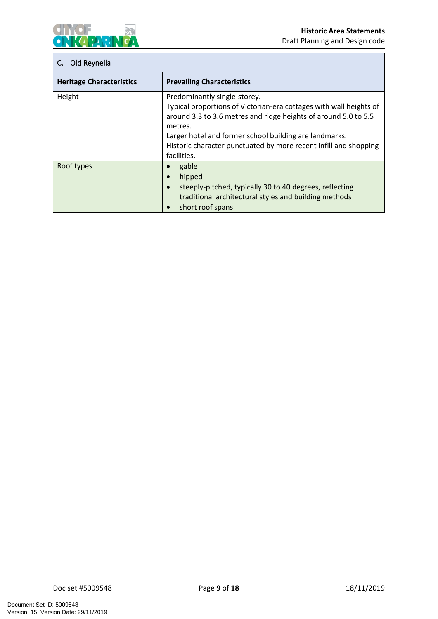

# **C. Old Reynella**

| <b>Heritage Characteristics</b> | <b>Prevailing Characteristics</b>                                                                                                                                                                                                                                                                                             |
|---------------------------------|-------------------------------------------------------------------------------------------------------------------------------------------------------------------------------------------------------------------------------------------------------------------------------------------------------------------------------|
| Height                          | Predominantly single-storey.<br>Typical proportions of Victorian-era cottages with wall heights of<br>around 3.3 to 3.6 metres and ridge heights of around 5.0 to 5.5<br>metres.<br>Larger hotel and former school building are landmarks.<br>Historic character punctuated by more recent infill and shopping<br>facilities. |
| Roof types                      | gable<br>hipped<br>$\bullet$<br>steeply-pitched, typically 30 to 40 degrees, reflecting<br>$\bullet$<br>traditional architectural styles and building methods<br>short roof spans                                                                                                                                             |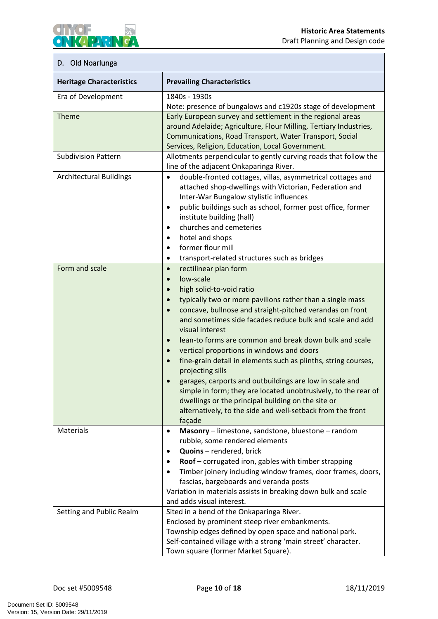### <span id="page-12-0"></span>**D. Old Noarlunga**

PARK

IY (OF

 $\bullet$ 

| <b>Heritage Characteristics</b> | <b>Prevailing Characteristics</b>                                                                                                 |
|---------------------------------|-----------------------------------------------------------------------------------------------------------------------------------|
| Era of Development              | 1840s - 1930s                                                                                                                     |
|                                 | Note: presence of bungalows and c1920s stage of development                                                                       |
| Theme                           | Early European survey and settlement in the regional areas                                                                        |
|                                 | around Adelaide; Agriculture, Flour Milling, Tertiary Industries,                                                                 |
|                                 | Communications, Road Transport, Water Transport, Social                                                                           |
|                                 | Services, Religion, Education, Local Government.                                                                                  |
| <b>Subdivision Pattern</b>      | Allotments perpendicular to gently curving roads that follow the                                                                  |
|                                 | line of the adjacent Onkaparinga River.                                                                                           |
| <b>Architectural Buildings</b>  | double-fronted cottages, villas, asymmetrical cottages and<br>$\bullet$                                                           |
|                                 | attached shop-dwellings with Victorian, Federation and                                                                            |
|                                 | Inter-War Bungalow stylistic influences                                                                                           |
|                                 | public buildings such as school, former post office, former<br>$\bullet$                                                          |
|                                 | institute building (hall)                                                                                                         |
|                                 | churches and cemeteries<br>$\bullet$                                                                                              |
|                                 | hotel and shops<br>$\bullet$                                                                                                      |
|                                 | former flour mill<br>$\bullet$                                                                                                    |
|                                 | transport-related structures such as bridges<br>$\bullet$                                                                         |
| Form and scale                  | rectilinear plan form<br>$\bullet$                                                                                                |
|                                 | low-scale<br>$\bullet$                                                                                                            |
|                                 | high solid-to-void ratio<br>$\bullet$                                                                                             |
|                                 | typically two or more pavilions rather than a single mass<br>$\bullet$                                                            |
|                                 | concave, bullnose and straight-pitched verandas on front<br>$\bullet$<br>and sometimes side facades reduce bulk and scale and add |
|                                 | visual interest                                                                                                                   |
|                                 | lean-to forms are common and break down bulk and scale<br>$\bullet$                                                               |
|                                 | vertical proportions in windows and doors<br>$\bullet$                                                                            |
|                                 | fine-grain detail in elements such as plinths, string courses,<br>$\bullet$                                                       |
|                                 | projecting sills                                                                                                                  |
|                                 | garages, carports and outbuildings are low in scale and                                                                           |
|                                 | simple in form; they are located unobtrusively, to the rear of                                                                    |
|                                 | dwellings or the principal building on the site or                                                                                |
|                                 | alternatively, to the side and well-setback from the front                                                                        |
|                                 | façade                                                                                                                            |
| <b>Materials</b>                | Masonry - limestone, sandstone, bluestone - random<br>٠                                                                           |
|                                 | rubble, some rendered elements                                                                                                    |
|                                 | Quoins - rendered, brick<br>٠                                                                                                     |
|                                 | Roof - corrugated iron, gables with timber strapping<br>٠                                                                         |
|                                 | Timber joinery including window frames, door frames, doors,<br>$\bullet$                                                          |
|                                 | fascias, bargeboards and veranda posts                                                                                            |
|                                 | Variation in materials assists in breaking down bulk and scale                                                                    |
|                                 | and adds visual interest.                                                                                                         |
| Setting and Public Realm        | Sited in a bend of the Onkaparinga River.                                                                                         |
|                                 | Enclosed by prominent steep river embankments.                                                                                    |
|                                 | Township edges defined by open space and national park.                                                                           |
|                                 | Self-contained village with a strong 'main street' character.                                                                     |
|                                 | Town square (former Market Square).                                                                                               |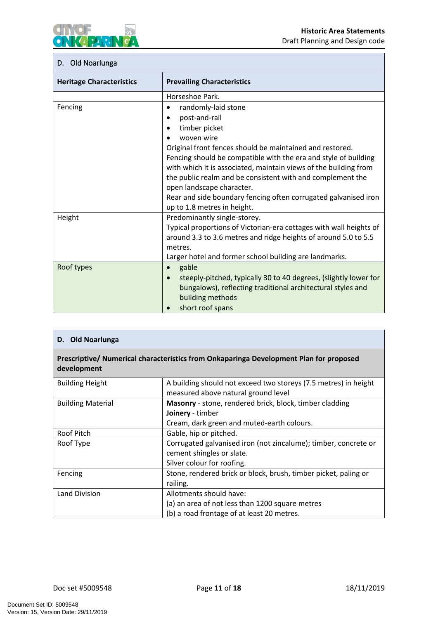

# **D. Old Noarlunga**

| <b>Heritage Characteristics</b> | <b>Prevailing Characteristics</b>                                             |
|---------------------------------|-------------------------------------------------------------------------------|
|                                 | Horseshoe Park.                                                               |
| Fencing                         | randomly-laid stone                                                           |
|                                 | post-and-rail<br>$\bullet$                                                    |
|                                 | timber picket<br>$\bullet$                                                    |
|                                 | woven wire                                                                    |
|                                 | Original front fences should be maintained and restored.                      |
|                                 | Fencing should be compatible with the era and style of building               |
|                                 | with which it is associated, maintain views of the building from              |
|                                 | the public realm and be consistent with and complement the                    |
|                                 | open landscape character.                                                     |
|                                 | Rear and side boundary fencing often corrugated galvanised iron               |
|                                 | up to 1.8 metres in height.                                                   |
| Height                          | Predominantly single-storey.                                                  |
|                                 | Typical proportions of Victorian-era cottages with wall heights of            |
|                                 | around 3.3 to 3.6 metres and ridge heights of around 5.0 to 5.5<br>metres.    |
|                                 | Larger hotel and former school building are landmarks.                        |
| Roof types                      | gable<br>$\bullet$                                                            |
|                                 | steeply-pitched, typically 30 to 40 degrees, (slightly lower for<br>$\bullet$ |
|                                 | bungalows), reflecting traditional architectural styles and                   |
|                                 | building methods                                                              |
|                                 | short roof spans                                                              |

| D. Old Noarlunga                                                                                      |                                                                                                                                  |
|-------------------------------------------------------------------------------------------------------|----------------------------------------------------------------------------------------------------------------------------------|
| Prescriptive/ Numerical characteristics from Onkaparinga Development Plan for proposed<br>development |                                                                                                                                  |
| <b>Building Height</b>                                                                                | A building should not exceed two storeys (7.5 metres) in height<br>measured above natural ground level                           |
| <b>Building Material</b>                                                                              | <b>Masonry</b> - stone, rendered brick, block, timber cladding<br>Joinery - timber<br>Cream, dark green and muted-earth colours. |
| Roof Pitch                                                                                            | Gable, hip or pitched.                                                                                                           |
| Roof Type                                                                                             | Corrugated galvanised iron (not zincalume); timber, concrete or<br>cement shingles or slate.<br>Silver colour for roofing.       |
| Fencing                                                                                               | Stone, rendered brick or block, brush, timber picket, paling or<br>railing.                                                      |
| Land Division                                                                                         | Allotments should have:<br>(a) an area of not less than 1200 square metres<br>(b) a road frontage of at least 20 metres.         |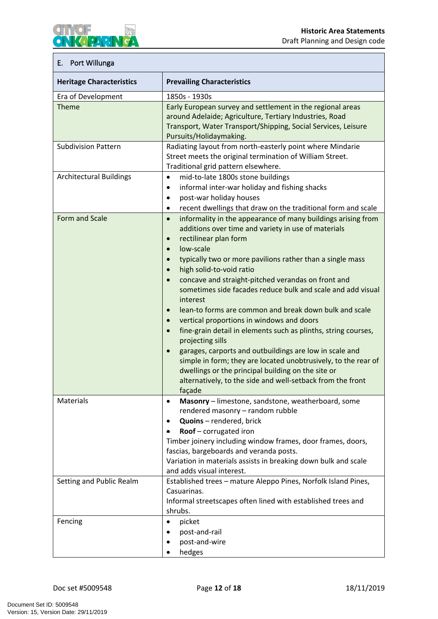### <span id="page-14-0"></span>**E. Port Willunga**

KAPARIN

YOE

 $\bullet$ 

| <b>Heritage Characteristics</b> | <b>Prevailing Characteristics</b>                                                                                                                                                                                                                                                                                                                                                                                                                                                                                                                                                                                                                                                                                                                                                                                                                                                                                                                                             |
|---------------------------------|-------------------------------------------------------------------------------------------------------------------------------------------------------------------------------------------------------------------------------------------------------------------------------------------------------------------------------------------------------------------------------------------------------------------------------------------------------------------------------------------------------------------------------------------------------------------------------------------------------------------------------------------------------------------------------------------------------------------------------------------------------------------------------------------------------------------------------------------------------------------------------------------------------------------------------------------------------------------------------|
| Era of Development              | 1850s - 1930s                                                                                                                                                                                                                                                                                                                                                                                                                                                                                                                                                                                                                                                                                                                                                                                                                                                                                                                                                                 |
| <b>Theme</b>                    | Early European survey and settlement in the regional areas<br>around Adelaide; Agriculture, Tertiary Industries, Road<br>Transport, Water Transport/Shipping, Social Services, Leisure<br>Pursuits/Holidaymaking.                                                                                                                                                                                                                                                                                                                                                                                                                                                                                                                                                                                                                                                                                                                                                             |
| <b>Subdivision Pattern</b>      | Radiating layout from north-easterly point where Mindarie<br>Street meets the original termination of William Street.<br>Traditional grid pattern elsewhere.                                                                                                                                                                                                                                                                                                                                                                                                                                                                                                                                                                                                                                                                                                                                                                                                                  |
| <b>Architectural Buildings</b>  | mid-to-late 1800s stone buildings<br>$\bullet$<br>informal inter-war holiday and fishing shacks<br>$\bullet$<br>post-war holiday houses<br>$\bullet$<br>recent dwellings that draw on the traditional form and scale<br>$\bullet$                                                                                                                                                                                                                                                                                                                                                                                                                                                                                                                                                                                                                                                                                                                                             |
| Form and Scale                  | informality in the appearance of many buildings arising from<br>$\bullet$<br>additions over time and variety in use of materials<br>rectilinear plan form<br>$\bullet$<br>low-scale<br>$\bullet$<br>typically two or more pavilions rather than a single mass<br>$\bullet$<br>high solid-to-void ratio<br>$\bullet$<br>concave and straight-pitched verandas on front and<br>$\bullet$<br>sometimes side facades reduce bulk and scale and add visual<br>interest<br>lean-to forms are common and break down bulk and scale<br>$\bullet$<br>vertical proportions in windows and doors<br>$\bullet$<br>fine-grain detail in elements such as plinths, string courses,<br>$\bullet$<br>projecting sills<br>garages, carports and outbuildings are low in scale and<br>$\bullet$<br>simple in form; they are located unobtrusively, to the rear of<br>dwellings or the principal building on the site or<br>alternatively, to the side and well-setback from the front<br>façade |
| Materials                       | Masonry - limestone, sandstone, weatherboard, some<br>rendered masonry - random rubble<br>Quoins - rendered, brick<br>$\bullet$<br>Roof - corrugated iron<br>٠<br>Timber joinery including window frames, door frames, doors,<br>fascias, bargeboards and veranda posts.<br>Variation in materials assists in breaking down bulk and scale<br>and adds visual interest.                                                                                                                                                                                                                                                                                                                                                                                                                                                                                                                                                                                                       |
| Setting and Public Realm        | Established trees - mature Aleppo Pines, Norfolk Island Pines,<br>Casuarinas.<br>Informal streetscapes often lined with established trees and<br>shrubs.                                                                                                                                                                                                                                                                                                                                                                                                                                                                                                                                                                                                                                                                                                                                                                                                                      |
| Fencing                         | picket<br>post-and-rail<br>$\bullet$<br>post-and-wire<br>hedges                                                                                                                                                                                                                                                                                                                                                                                                                                                                                                                                                                                                                                                                                                                                                                                                                                                                                                               |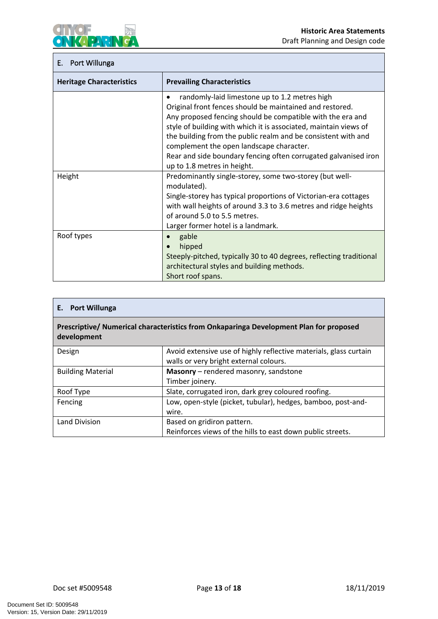

### **E. Port Willunga**

| <b>Heritage Characteristics</b> | <b>Prevailing Characteristics</b>                                                                                      |
|---------------------------------|------------------------------------------------------------------------------------------------------------------------|
|                                 | randomly-laid limestone up to 1.2 metres high                                                                          |
|                                 | Original front fences should be maintained and restored.<br>Any proposed fencing should be compatible with the era and |
|                                 | style of building with which it is associated, maintain views of                                                       |
|                                 | the building from the public realm and be consistent with and                                                          |
|                                 | complement the open landscape character.                                                                               |
|                                 | Rear and side boundary fencing often corrugated galvanised iron                                                        |
|                                 | up to 1.8 metres in height.                                                                                            |
| Height                          | Predominantly single-storey, some two-storey (but well-                                                                |
|                                 | modulated).                                                                                                            |
|                                 | Single-storey has typical proportions of Victorian-era cottages                                                        |
|                                 | with wall heights of around 3.3 to 3.6 metres and ridge heights                                                        |
|                                 | of around 5.0 to 5.5 metres.                                                                                           |
|                                 | Larger former hotel is a landmark.                                                                                     |
| Roof types                      | gable<br>$\bullet$                                                                                                     |
|                                 | hipped<br>$\bullet$                                                                                                    |
|                                 | Steeply-pitched, typically 30 to 40 degrees, reflecting traditional                                                    |
|                                 | architectural styles and building methods.                                                                             |
|                                 | Short roof spans.                                                                                                      |

| E. Port Willunga                                                                                      |                                                                                                             |
|-------------------------------------------------------------------------------------------------------|-------------------------------------------------------------------------------------------------------------|
| Prescriptive/ Numerical characteristics from Onkaparinga Development Plan for proposed<br>development |                                                                                                             |
| Design                                                                                                | Avoid extensive use of highly reflective materials, glass curtain<br>walls or very bright external colours. |
| <b>Building Material</b>                                                                              | Masonry - rendered masonry, sandstone<br>Timber joinery.                                                    |
| Roof Type                                                                                             | Slate, corrugated iron, dark grey coloured roofing.                                                         |
| Fencing                                                                                               | Low, open-style (picket, tubular), hedges, bamboo, post-and-<br>wire.                                       |
| Land Division                                                                                         | Based on gridiron pattern.<br>Reinforces views of the hills to east down public streets.                    |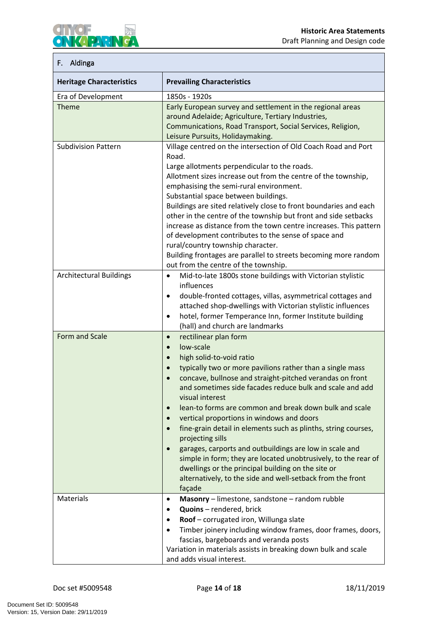

### <span id="page-16-0"></span>**F. Aldinga**

| <b>Heritage Characteristics</b> | <b>Prevailing Characteristics</b>                                                                                                                                                                                                                                                                                                                                                                                                                                                                                                                                                                                                                                                                                                                                                                                                      |
|---------------------------------|----------------------------------------------------------------------------------------------------------------------------------------------------------------------------------------------------------------------------------------------------------------------------------------------------------------------------------------------------------------------------------------------------------------------------------------------------------------------------------------------------------------------------------------------------------------------------------------------------------------------------------------------------------------------------------------------------------------------------------------------------------------------------------------------------------------------------------------|
| Era of Development              | 1850s - 1920s                                                                                                                                                                                                                                                                                                                                                                                                                                                                                                                                                                                                                                                                                                                                                                                                                          |
| <b>Theme</b>                    | Early European survey and settlement in the regional areas<br>around Adelaide; Agriculture, Tertiary Industries,<br>Communications, Road Transport, Social Services, Religion,<br>Leisure Pursuits, Holidaymaking.                                                                                                                                                                                                                                                                                                                                                                                                                                                                                                                                                                                                                     |
| <b>Subdivision Pattern</b>      | Village centred on the intersection of Old Coach Road and Port<br>Road.<br>Large allotments perpendicular to the roads.<br>Allotment sizes increase out from the centre of the township,<br>emphasising the semi-rural environment.<br>Substantial space between buildings.<br>Buildings are sited relatively close to front boundaries and each<br>other in the centre of the township but front and side setbacks<br>increase as distance from the town centre increases. This pattern<br>of development contributes to the sense of space and<br>rural/country township character.<br>Building frontages are parallel to streets becoming more random                                                                                                                                                                               |
| <b>Architectural Buildings</b>  | out from the centre of the township.<br>Mid-to-late 1800s stone buildings with Victorian stylistic<br>$\bullet$<br>influences<br>double-fronted cottages, villas, asymmetrical cottages and<br>$\bullet$<br>attached shop-dwellings with Victorian stylistic influences<br>hotel, former Temperance Inn, former Institute building<br>$\bullet$<br>(hall) and church are landmarks                                                                                                                                                                                                                                                                                                                                                                                                                                                     |
| Form and Scale                  | rectilinear plan form<br>$\bullet$<br>low-scale<br>$\bullet$<br>high solid-to-void ratio<br>$\bullet$<br>typically two or more pavilions rather than a single mass<br>$\bullet$<br>concave, bullnose and straight-pitched verandas on front<br>$\bullet$<br>and sometimes side facades reduce bulk and scale and add<br>visual interest<br>lean-to forms are common and break down bulk and scale<br>$\bullet$<br>vertical proportions in windows and doors<br>$\bullet$<br>fine-grain detail in elements such as plinths, string courses,<br>projecting sills<br>garages, carports and outbuildings are low in scale and<br>$\bullet$<br>simple in form; they are located unobtrusively, to the rear of<br>dwellings or the principal building on the site or<br>alternatively, to the side and well-setback from the front<br>façade |
| <b>Materials</b>                | Masonry - limestone, sandstone - random rubble<br>$\bullet$<br>Quoins - rendered, brick<br>$\bullet$<br>Roof - corrugated iron, Willunga slate<br>$\bullet$<br>Timber joinery including window frames, door frames, doors,<br>$\bullet$<br>fascias, bargeboards and veranda posts<br>Variation in materials assists in breaking down bulk and scale<br>and adds visual interest.                                                                                                                                                                                                                                                                                                                                                                                                                                                       |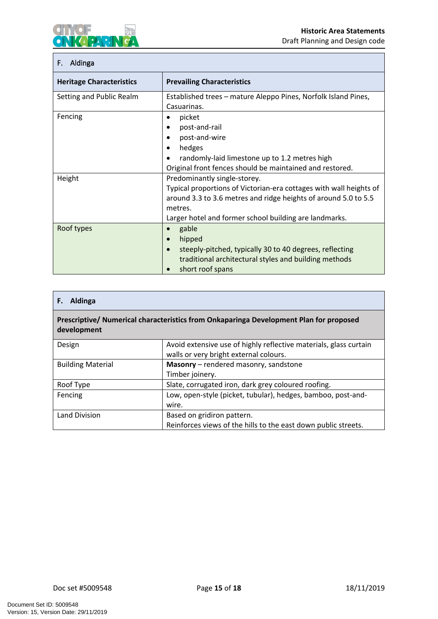

# **F. Aldinga**

| <b>Heritage Characteristics</b> | <b>Prevailing Characteristics</b>                                    |
|---------------------------------|----------------------------------------------------------------------|
| Setting and Public Realm        | Established trees - mature Aleppo Pines, Norfolk Island Pines,       |
|                                 | Casuarinas.                                                          |
| Fencing                         | picket                                                               |
|                                 | post-and-rail                                                        |
|                                 | post-and-wire                                                        |
|                                 | hedges                                                               |
|                                 | randomly-laid limestone up to 1.2 metres high<br>$\bullet$           |
|                                 | Original front fences should be maintained and restored.             |
| Height                          | Predominantly single-storey.                                         |
|                                 | Typical proportions of Victorian-era cottages with wall heights of   |
|                                 | around 3.3 to 3.6 metres and ridge heights of around 5.0 to 5.5      |
|                                 | metres.                                                              |
|                                 | Larger hotel and former school building are landmarks.               |
| Roof types                      | gable                                                                |
|                                 | hipped<br>$\bullet$                                                  |
|                                 | steeply-pitched, typically 30 to 40 degrees, reflecting<br>$\bullet$ |
|                                 | traditional architectural styles and building methods                |
|                                 | short roof spans                                                     |

| Aldinga<br>F.                                                                                         |                                                                                                             |
|-------------------------------------------------------------------------------------------------------|-------------------------------------------------------------------------------------------------------------|
| Prescriptive/ Numerical characteristics from Onkaparinga Development Plan for proposed<br>development |                                                                                                             |
| Design                                                                                                | Avoid extensive use of highly reflective materials, glass curtain<br>walls or very bright external colours. |
| <b>Building Material</b>                                                                              | Masonry - rendered masonry, sandstone<br>Timber joinery.                                                    |
| Roof Type                                                                                             | Slate, corrugated iron, dark grey coloured roofing.                                                         |
| Fencing                                                                                               | Low, open-style (picket, tubular), hedges, bamboo, post-and-<br>wire.                                       |
| Land Division                                                                                         | Based on gridiron pattern.<br>Reinforces views of the hills to the east down public streets.                |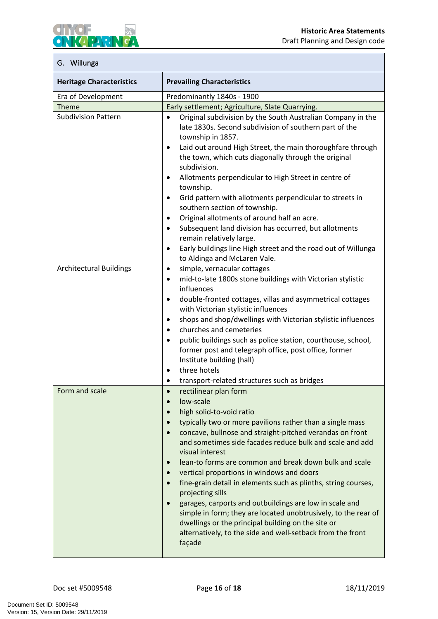

### <span id="page-18-0"></span>**G. Willunga**

| <b>Heritage Characteristics</b> | <b>Prevailing Characteristics</b>                                                                                                                                                                                                                                                                                                                                                                                                                                                                                                                                                                                                                                                                                                                                                                                                                   |
|---------------------------------|-----------------------------------------------------------------------------------------------------------------------------------------------------------------------------------------------------------------------------------------------------------------------------------------------------------------------------------------------------------------------------------------------------------------------------------------------------------------------------------------------------------------------------------------------------------------------------------------------------------------------------------------------------------------------------------------------------------------------------------------------------------------------------------------------------------------------------------------------------|
| Era of Development              | Predominantly 1840s - 1900                                                                                                                                                                                                                                                                                                                                                                                                                                                                                                                                                                                                                                                                                                                                                                                                                          |
| <b>Theme</b>                    | Early settlement; Agriculture, Slate Quarrying.                                                                                                                                                                                                                                                                                                                                                                                                                                                                                                                                                                                                                                                                                                                                                                                                     |
| <b>Subdivision Pattern</b>      | Original subdivision by the South Australian Company in the<br>$\bullet$<br>late 1830s. Second subdivision of southern part of the<br>township in 1857.<br>Laid out around High Street, the main thoroughfare through<br>$\bullet$<br>the town, which cuts diagonally through the original<br>subdivision.<br>Allotments perpendicular to High Street in centre of<br>$\bullet$<br>township.<br>Grid pattern with allotments perpendicular to streets in<br>$\bullet$<br>southern section of township.<br>Original allotments of around half an acre.<br>$\bullet$<br>Subsequent land division has occurred, but allotments<br>$\bullet$<br>remain relatively large.<br>Early buildings line High street and the road out of Willunga<br>$\bullet$                                                                                                  |
|                                 | to Aldinga and McLaren Vale.                                                                                                                                                                                                                                                                                                                                                                                                                                                                                                                                                                                                                                                                                                                                                                                                                        |
| <b>Architectural Buildings</b>  | simple, vernacular cottages<br>$\bullet$<br>mid-to-late 1800s stone buildings with Victorian stylistic<br>$\bullet$<br>influences<br>double-fronted cottages, villas and asymmetrical cottages<br>$\bullet$<br>with Victorian stylistic influences<br>shops and shop/dwellings with Victorian stylistic influences<br>$\bullet$<br>churches and cemeteries<br>$\bullet$<br>public buildings such as police station, courthouse, school,<br>$\bullet$<br>former post and telegraph office, post office, former<br>Institute building (hall)<br>three hotels<br>$\bullet$<br>transport-related structures such as bridges<br>$\bullet$                                                                                                                                                                                                                |
| Form and scale                  | rectilinear plan form<br>$\bullet$<br>$\bullet$<br>low-scale<br>high solid-to-void ratio<br>$\bullet$<br>typically two or more pavilions rather than a single mass<br>$\bullet$<br>concave, bullnose and straight-pitched verandas on front<br>$\bullet$<br>and sometimes side facades reduce bulk and scale and add<br>visual interest<br>lean-to forms are common and break down bulk and scale<br>$\bullet$<br>vertical proportions in windows and doors<br>$\bullet$<br>fine-grain detail in elements such as plinths, string courses,<br>$\bullet$<br>projecting sills<br>garages, carports and outbuildings are low in scale and<br>$\bullet$<br>simple in form; they are located unobtrusively, to the rear of<br>dwellings or the principal building on the site or<br>alternatively, to the side and well-setback from the front<br>façade |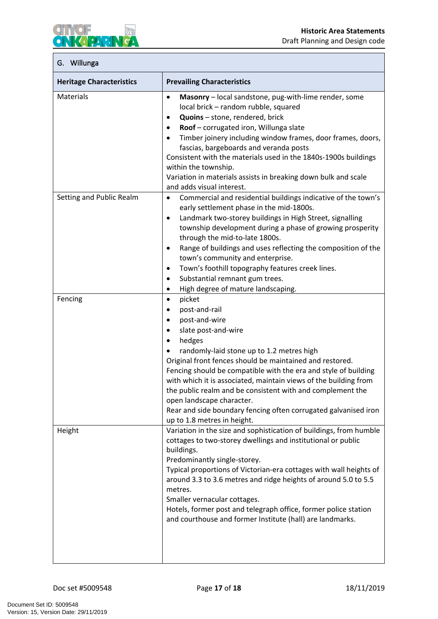

# **G. Willunga**

| <b>Heritage Characteristics</b> | <b>Prevailing Characteristics</b>                                                                                                                                                                                                                                                                                                                                                                                                                                                                                                                                                                    |
|---------------------------------|------------------------------------------------------------------------------------------------------------------------------------------------------------------------------------------------------------------------------------------------------------------------------------------------------------------------------------------------------------------------------------------------------------------------------------------------------------------------------------------------------------------------------------------------------------------------------------------------------|
| Materials                       | Masonry - local sandstone, pug-with-lime render, some<br>$\bullet$<br>local brick - random rubble, squared<br>Quoins - stone, rendered, brick<br>٠<br>Roof - corrugated iron, Willunga slate<br>$\bullet$<br>Timber joinery including window frames, door frames, doors,<br>$\bullet$<br>fascias, bargeboards and veranda posts<br>Consistent with the materials used in the 1840s-1900s buildings<br>within the township.<br>Variation in materials assists in breaking down bulk and scale<br>and adds visual interest.                                                                            |
| Setting and Public Realm        | Commercial and residential buildings indicative of the town's<br>$\bullet$<br>early settlement phase in the mid-1800s.<br>Landmark two-storey buildings in High Street, signalling<br>$\bullet$<br>township development during a phase of growing prosperity<br>through the mid-to-late 1800s.<br>Range of buildings and uses reflecting the composition of the<br>٠<br>town's community and enterprise.<br>Town's foothill topography features creek lines.<br>$\bullet$<br>Substantial remnant gum trees.<br>$\bullet$<br>High degree of mature landscaping.<br>$\bullet$                          |
| Fencing                         | picket<br>$\bullet$<br>post-and-rail<br>$\bullet$<br>post-and-wire<br>$\bullet$<br>slate post-and-wire<br>$\bullet$<br>hedges<br>$\bullet$<br>randomly-laid stone up to 1.2 metres high<br>$\bullet$<br>Original front fences should be maintained and restored.<br>Fencing should be compatible with the era and style of building<br>with which it is associated, maintain views of the building from<br>the public realm and be consistent with and complement the<br>open landscape character.<br>Rear and side boundary fencing often corrugated galvanised iron<br>up to 1.8 metres in height. |
| Height                          | Variation in the size and sophistication of buildings, from humble<br>cottages to two-storey dwellings and institutional or public<br>buildings.<br>Predominantly single-storey.<br>Typical proportions of Victorian-era cottages with wall heights of<br>around 3.3 to 3.6 metres and ridge heights of around 5.0 to 5.5<br>metres.<br>Smaller vernacular cottages.<br>Hotels, former post and telegraph office, former police station<br>and courthouse and former Institute (hall) are landmarks.                                                                                                 |